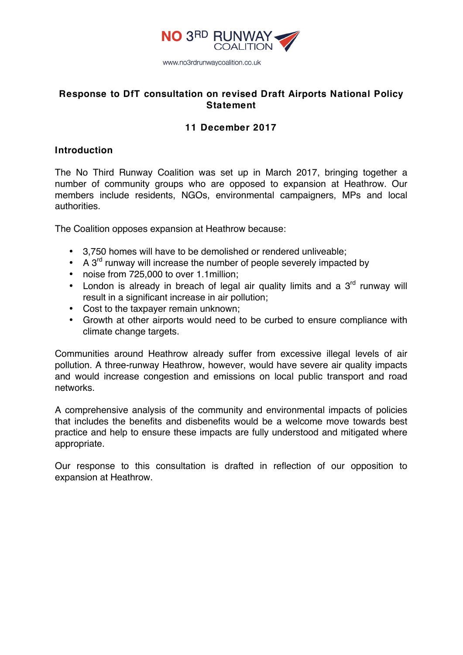

# **Response to DfT consultation on revised Draft Airports National Policy Statement**

# **11 December 2017**

# **Introduction**

The No Third Runway Coalition was set up in March 2017, bringing together a number of community groups who are opposed to expansion at Heathrow. Our members include residents, NGOs, environmental campaigners, MPs and local authorities.

The Coalition opposes expansion at Heathrow because:

- 3,750 homes will have to be demolished or rendered unliveable;
- A  $3<sup>rd</sup>$  runway will increase the number of people severely impacted by
- noise from 725,000 to over 1.1million;
- London is already in breach of legal air quality limits and a  $3<sup>rd</sup>$  runway will result in a significant increase in air pollution;
- Cost to the taxpayer remain unknown;
- Growth at other airports would need to be curbed to ensure compliance with climate change targets.

Communities around Heathrow already suffer from excessive illegal levels of air pollution. A three-runway Heathrow, however, would have severe air quality impacts and would increase congestion and emissions on local public transport and road networks.

A comprehensive analysis of the community and environmental impacts of policies that includes the benefits and disbenefits would be a welcome move towards best practice and help to ensure these impacts are fully understood and mitigated where appropriate.

Our response to this consultation is drafted in reflection of our opposition to expansion at Heathrow.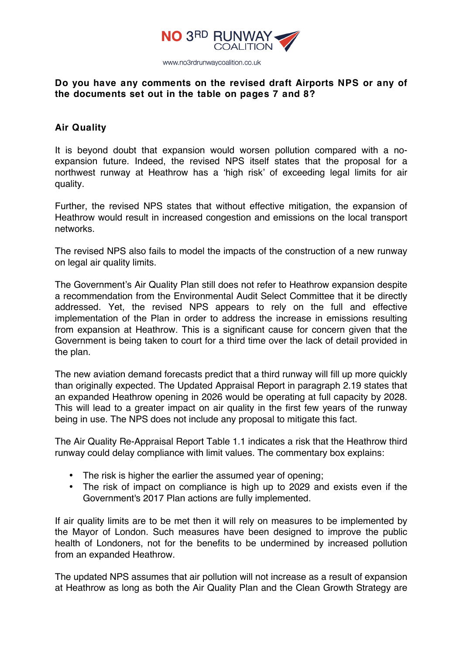

# **Do you have any comments on the revised draft Airports NPS or any of the documents set out in the table on pages 7 and 8?**

# **Air Quality**

It is beyond doubt that expansion would worsen pollution compared with a noexpansion future. Indeed, the revised NPS itself states that the proposal for a northwest runway at Heathrow has a 'high risk' of exceeding legal limits for air quality.

Further, the revised NPS states that without effective mitigation, the expansion of Heathrow would result in increased congestion and emissions on the local transport networks.

The revised NPS also fails to model the impacts of the construction of a new runway on legal air quality limits.

The Government's Air Quality Plan still does not refer to Heathrow expansion despite a recommendation from the Environmental Audit Select Committee that it be directly addressed. Yet, the revised NPS appears to rely on the full and effective implementation of the Plan in order to address the increase in emissions resulting from expansion at Heathrow. This is a significant cause for concern given that the Government is being taken to court for a third time over the lack of detail provided in the plan.

The new aviation demand forecasts predict that a third runway will fill up more quickly than originally expected. The Updated Appraisal Report in paragraph 2.19 states that an expanded Heathrow opening in 2026 would be operating at full capacity by 2028. This will lead to a greater impact on air quality in the first few years of the runway being in use. The NPS does not include any proposal to mitigate this fact.

The Air Quality Re-Appraisal Report Table 1.1 indicates a risk that the Heathrow third runway could delay compliance with limit values. The commentary box explains:

- The risk is higher the earlier the assumed year of opening;
- The risk of impact on compliance is high up to 2029 and exists even if the Government's 2017 Plan actions are fully implemented.

If air quality limits are to be met then it will rely on measures to be implemented by the Mayor of London. Such measures have been designed to improve the public health of Londoners, not for the benefits to be undermined by increased pollution from an expanded Heathrow.

The updated NPS assumes that air pollution will not increase as a result of expansion at Heathrow as long as both the Air Quality Plan and the Clean Growth Strategy are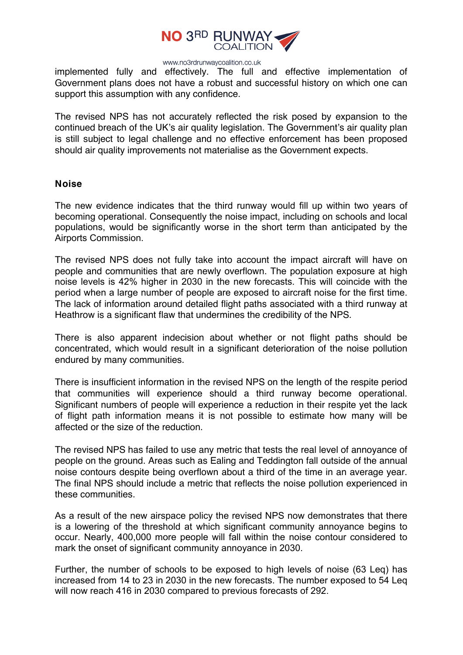

implemented fully and effectively. The full and effective implementation of Government plans does not have a robust and successful history on which one can support this assumption with any confidence.

The revised NPS has not accurately reflected the risk posed by expansion to the continued breach of the UK's air quality legislation. The Government's air quality plan is still subject to legal challenge and no effective enforcement has been proposed should air quality improvements not materialise as the Government expects.

### **Noise**

The new evidence indicates that the third runway would fill up within two years of becoming operational. Consequently the noise impact, including on schools and local populations, would be significantly worse in the short term than anticipated by the Airports Commission.

The revised NPS does not fully take into account the impact aircraft will have on people and communities that are newly overflown. The population exposure at high noise levels is 42% higher in 2030 in the new forecasts. This will coincide with the period when a large number of people are exposed to aircraft noise for the first time. The lack of information around detailed flight paths associated with a third runway at Heathrow is a significant flaw that undermines the credibility of the NPS.

There is also apparent indecision about whether or not flight paths should be concentrated, which would result in a significant deterioration of the noise pollution endured by many communities.

There is insufficient information in the revised NPS on the length of the respite period that communities will experience should a third runway become operational. Significant numbers of people will experience a reduction in their respite yet the lack of flight path information means it is not possible to estimate how many will be affected or the size of the reduction.

The revised NPS has failed to use any metric that tests the real level of annoyance of people on the ground. Areas such as Ealing and Teddington fall outside of the annual noise contours despite being overflown about a third of the time in an average year. The final NPS should include a metric that reflects the noise pollution experienced in these communities.

As a result of the new airspace policy the revised NPS now demonstrates that there is a lowering of the threshold at which significant community annoyance begins to occur. Nearly, 400,000 more people will fall within the noise contour considered to mark the onset of significant community annoyance in 2030.

Further, the number of schools to be exposed to high levels of noise (63 Leq) has increased from 14 to 23 in 2030 in the new forecasts. The number exposed to 54 Leq will now reach 416 in 2030 compared to previous forecasts of 292.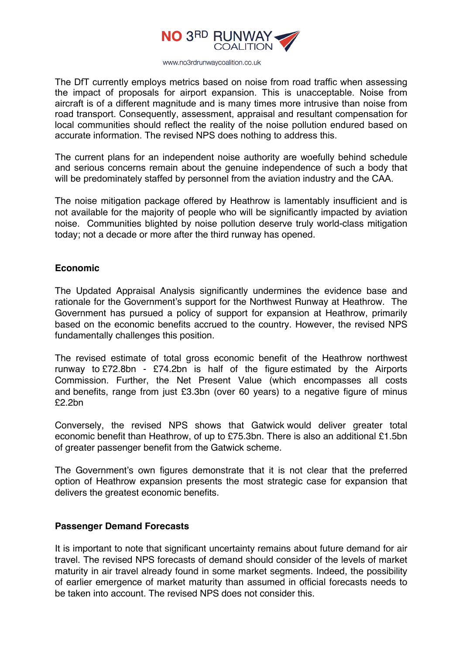

The DfT currently employs metrics based on noise from road traffic when assessing the impact of proposals for airport expansion. This is unacceptable. Noise from aircraft is of a different magnitude and is many times more intrusive than noise from road transport. Consequently, assessment, appraisal and resultant compensation for local communities should reflect the reality of the noise pollution endured based on accurate information. The revised NPS does nothing to address this.

The current plans for an independent noise authority are woefully behind schedule and serious concerns remain about the genuine independence of such a body that will be predominately staffed by personnel from the aviation industry and the CAA.

The noise mitigation package offered by Heathrow is lamentably insufficient and is not available for the majority of people who will be significantly impacted by aviation noise. Communities blighted by noise pollution deserve truly world-class mitigation today; not a decade or more after the third runway has opened.

## **Economic**

The Updated Appraisal Analysis significantly undermines the evidence base and rationale for the Government's support for the Northwest Runway at Heathrow. The Government has pursued a policy of support for expansion at Heathrow, primarily based on the economic benefits accrued to the country. However, the revised NPS fundamentally challenges this position.

The revised estimate of total gross economic benefit of the Heathrow northwest runway to £72.8bn - £74.2bn is half of the figure estimated by the Airports Commission. Further, the Net Present Value (which encompasses all costs and benefits, range from just £3.3bn (over 60 years) to a negative figure of minus £2.2bn

Conversely, the revised NPS shows that Gatwick would deliver greater total economic benefit than Heathrow, of up to £75.3bn. There is also an additional £1.5bn of greater passenger benefit from the Gatwick scheme.

The Government's own figures demonstrate that it is not clear that the preferred option of Heathrow expansion presents the most strategic case for expansion that delivers the greatest economic benefits.

## **Passenger Demand Forecasts**

It is important to note that significant uncertainty remains about future demand for air travel. The revised NPS forecasts of demand should consider of the levels of market maturity in air travel already found in some market segments. Indeed, the possibility of earlier emergence of market maturity than assumed in official forecasts needs to be taken into account. The revised NPS does not consider this.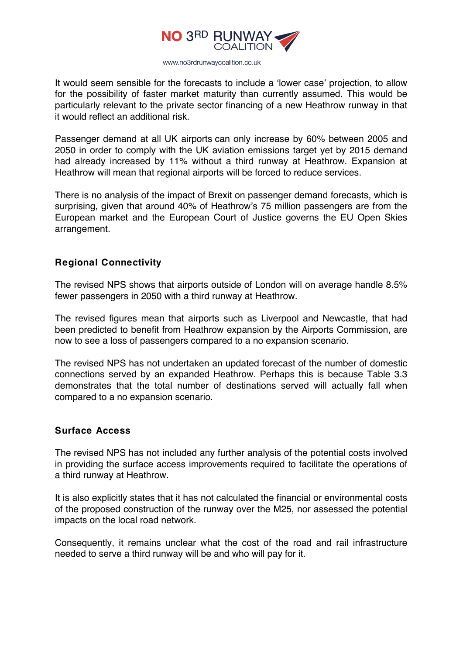

It would seem sensible for the forecasts to include a 'lower case' projection, to allow for the possibility of faster market maturity than currently assumed. This would be particularly relevant to the private sector financing of a new Heathrow runway in that it would reflect an additional risk.

Passenger demand at all UK airports can only increase by 60% between 2005 and 2050 in order to comply with the UK aviation emissions target yet by 2015 demand had already increased by 11% without a third runway at Heathrow. Expansion at Heathrow will mean that regional airports will be forced to reduce services.

There is no analysis of the impact of Brexit on passenger demand forecasts, which is surprising, given that around 40% of Heathrow's 75 million passengers are from the European market and the European Court of Justice governs the EU Open Skies arrangement.

# **Regional Connectivity**

The revised NPS shows that airports outside of London will on average handle 8.5% fewer passengers in 2050 with a third runway at Heathrow.

The revised figures mean that airports such as Liverpool and Newcastle, that had been predicted to benefit from Heathrow expansion by the Airports Commission, are now to see a loss of passengers compared to a no expansion scenario.

The revised NPS has not undertaken an updated forecast of the number of domestic connections served by an expanded Heathrow. Perhaps this is because Table 3.3 demonstrates that the total number of destinations served will actually fall when compared to a no expansion scenario.

#### **Surface Access**

The revised NPS has not included any further analysis of the potential costs involved in providing the surface access improvements required to facilitate the operations of a third runway at Heathrow.

It is also explicitly states that it has not calculated the financial or environmental costs of the proposed construction of the runway over the M25, nor assessed the potential impacts on the local road network.

Consequently, it remains unclear what the cost of the road and rail infrastructure needed to serve a third runway will be and who will pay for it.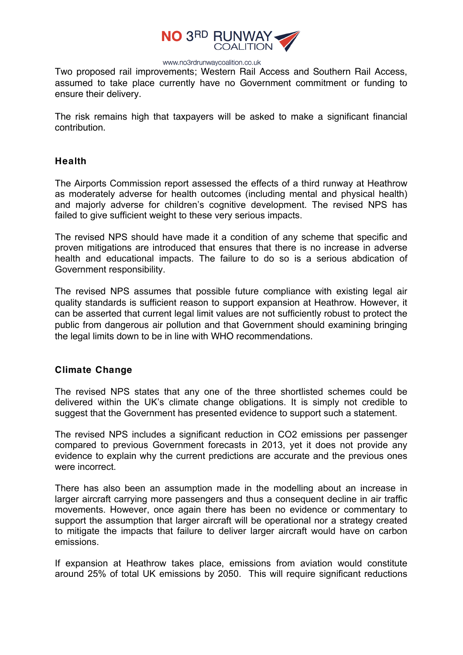

Two proposed rail improvements; Western Rail Access and Southern Rail Access, assumed to take place currently have no Government commitment or funding to ensure their delivery.

The risk remains high that taxpayers will be asked to make a significant financial contribution.

### **Health**

The Airports Commission report assessed the effects of a third runway at Heathrow as moderately adverse for health outcomes (including mental and physical health) and majorly adverse for children's cognitive development. The revised NPS has failed to give sufficient weight to these very serious impacts.

The revised NPS should have made it a condition of any scheme that specific and proven mitigations are introduced that ensures that there is no increase in adverse health and educational impacts. The failure to do so is a serious abdication of Government responsibility.

The revised NPS assumes that possible future compliance with existing legal air quality standards is sufficient reason to support expansion at Heathrow. However, it can be asserted that current legal limit values are not sufficiently robust to protect the public from dangerous air pollution and that Government should examining bringing the legal limits down to be in line with WHO recommendations.

## **Climate Change**

The revised NPS states that any one of the three shortlisted schemes could be delivered within the UK's climate change obligations. It is simply not credible to suggest that the Government has presented evidence to support such a statement.

The revised NPS includes a significant reduction in CO2 emissions per passenger compared to previous Government forecasts in 2013, yet it does not provide any evidence to explain why the current predictions are accurate and the previous ones were incorrect.

There has also been an assumption made in the modelling about an increase in larger aircraft carrying more passengers and thus a consequent decline in air traffic movements. However, once again there has been no evidence or commentary to support the assumption that larger aircraft will be operational nor a strategy created to mitigate the impacts that failure to deliver larger aircraft would have on carbon emissions.

If expansion at Heathrow takes place, emissions from aviation would constitute around 25% of total UK emissions by 2050. This will require significant reductions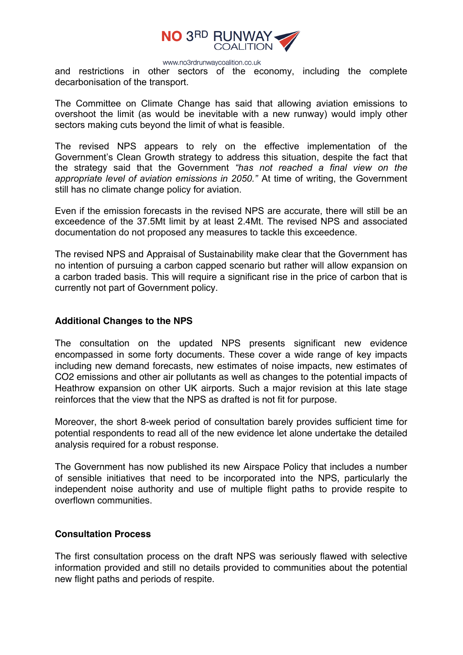

and restrictions in other sectors of the economy, including the complete decarbonisation of the transport.

The Committee on Climate Change has said that allowing aviation emissions to overshoot the limit (as would be inevitable with a new runway) would imply other sectors making cuts beyond the limit of what is feasible.

The revised NPS appears to rely on the effective implementation of the Government's Clean Growth strategy to address this situation, despite the fact that the strategy said that the Government *"has not reached a final view on the appropriate level of aviation emissions in 2050."* At time of writing, the Government still has no climate change policy for aviation.

Even if the emission forecasts in the revised NPS are accurate, there will still be an exceedence of the 37.5Mt limit by at least 2.4Mt. The revised NPS and associated documentation do not proposed any measures to tackle this exceedence.

The revised NPS and Appraisal of Sustainability make clear that the Government has no intention of pursuing a carbon capped scenario but rather will allow expansion on a carbon traded basis. This will require a significant rise in the price of carbon that is currently not part of Government policy.

### **Additional Changes to the NPS**

The consultation on the updated NPS presents significant new evidence encompassed in some forty documents. These cover a wide range of key impacts including new demand forecasts, new estimates of noise impacts, new estimates of CO2 emissions and other air pollutants as well as changes to the potential impacts of Heathrow expansion on other UK airports. Such a major revision at this late stage reinforces that the view that the NPS as drafted is not fit for purpose.

Moreover, the short 8-week period of consultation barely provides sufficient time for potential respondents to read all of the new evidence let alone undertake the detailed analysis required for a robust response.

The Government has now published its new Airspace Policy that includes a number of sensible initiatives that need to be incorporated into the NPS, particularly the independent noise authority and use of multiple flight paths to provide respite to overflown communities.

#### **Consultation Process**

The first consultation process on the draft NPS was seriously flawed with selective information provided and still no details provided to communities about the potential new flight paths and periods of respite.